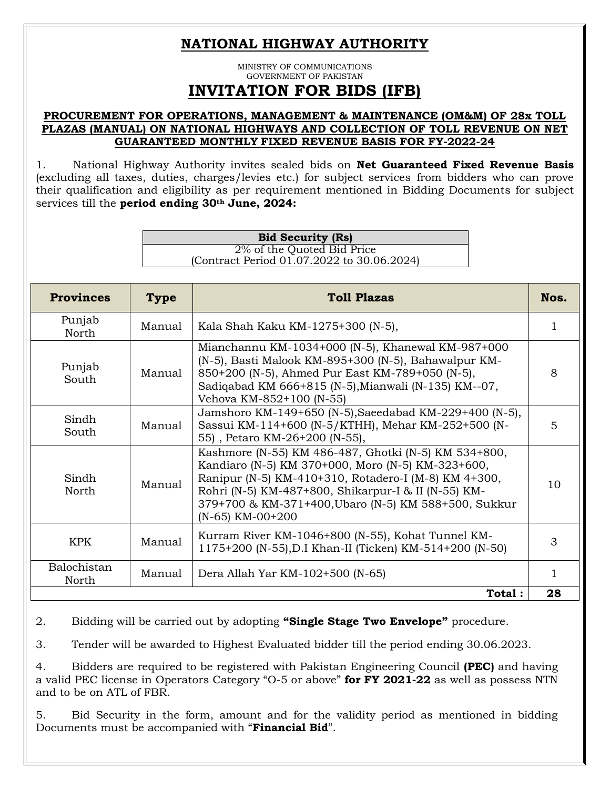## **NATIONAL HIGHWAY AUTHORITY**

MINISTRY OF COMMUNICATIONS GOVERNMENT OF PAKISTAN **INVITATION FOR BIDS (IFB)**

## **PROCUREMENT FOR OPERATIONS, MANAGEMENT & MAINTENANCE (OM&M) OF 28x TOLL PLAZAS (MANUAL) ON NATIONAL HIGHWAYS AND COLLECTION OF TOLL REVENUE ON NET GUARANTEED MONTHLY FIXED REVENUE BASIS FOR FY-2022-24**

1. National Highway Authority invites sealed bids on **Net Guaranteed Fixed Revenue Basis**  (excluding all taxes, duties, charges/levies etc.) for subject services from bidders who can prove their qualification and eligibility as per requirement mentioned in Bidding Documents for subject services till the **period ending 30th June, 2024:**

| <b>Bid Security (Rs)</b>                   |
|--------------------------------------------|
| 2% of the Quoted Bid Price                 |
| (Contract Period 01.07.2022 to 30.06.2024) |

| <b>Provinces</b>     | <b>Type</b> | <b>Toll Plazas</b>                                                                                                                                                                                                                                                                                     | Nos.            |
|----------------------|-------------|--------------------------------------------------------------------------------------------------------------------------------------------------------------------------------------------------------------------------------------------------------------------------------------------------------|-----------------|
| Punjab<br>North      | Manual      | Kala Shah Kaku KM-1275+300 (N-5),                                                                                                                                                                                                                                                                      | 1               |
| Punjab<br>South      | Manual      | Mianchannu KM-1034+000 (N-5), Khanewal KM-987+000<br>(N-5), Basti Malook KM-895+300 (N-5), Bahawalpur KM-<br>850+200 (N-5), Ahmed Pur East KM-789+050 (N-5),<br>Sadiqabad KM 666+815 (N-5), Mianwali (N-135) KM--07,<br>Vehova KM-852+100 (N-55)                                                       | 8               |
| Sindh<br>South       | Manual      | Jamshoro KM-149+650 (N-5), Saeedabad KM-229+400 (N-5),<br>Sassui KM-114+600 (N-5/KTHH), Mehar KM-252+500 (N-<br>55), Petaro KM-26+200 (N-55),                                                                                                                                                          | 5               |
| Sindh<br>North       | Manual      | Kashmore (N-55) KM 486-487, Ghotki (N-5) KM 534+800,<br>Kandiaro (N-5) KM 370+000, Moro (N-5) KM-323+600,<br>Ranipur (N-5) KM-410+310, Rotadero-I (M-8) KM 4+300,<br>Rohri (N-5) KM-487+800, Shikarpur-I & II (N-55) KM-<br>379+700 & KM-371+400, Ubaro (N-5) KM 588+500, Sukkur<br>$(N-65)$ KM-00+200 | 10 <sup>1</sup> |
| <b>KPK</b>           | Manual      | Kurram River KM-1046+800 (N-55), Kohat Tunnel KM-<br>1175+200 (N-55), D.I Khan-II (Ticken) KM-514+200 (N-50)                                                                                                                                                                                           | 3               |
| Balochistan<br>North | Manual      | Dera Allah Yar KM-102+500 (N-65)                                                                                                                                                                                                                                                                       |                 |
|                      |             | Total:                                                                                                                                                                                                                                                                                                 | 28              |

2. Bidding will be carried out by adopting **"Single Stage Two Envelope"** procedure.

3. Tender will be awarded to Highest Evaluated bidder till the period ending 30.06.2023.

4. Bidders are required to be registered with Pakistan Engineering Council **(PEC)** and having a valid PEC license in Operators Category "O-5 or above" **for FY 2021-22** as well as possess NTN and to be on ATL of FBR.

5. Bid Security in the form, amount and for the validity period as mentioned in bidding Documents must be accompanied with "**Financial Bid**".